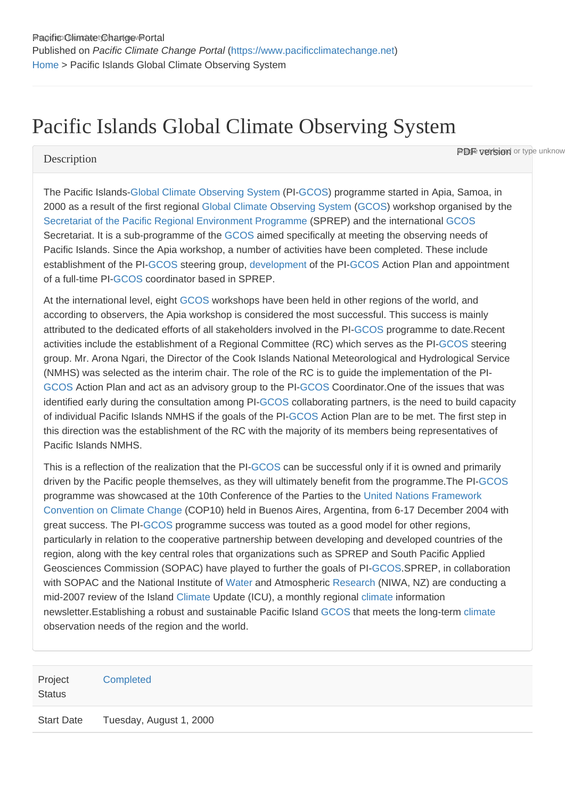# Pacific Islands Global Climate Observing System

#### **Description**

**PDF version** or type unknow

The Pacific Islands-[Global Climate Observing System](https://www.pacificclimatechange.net/glossary/letter_g#Global_Climate_Observing_System) (PI[-GCOS\)](https://www.pacificclimatechange.net/glossary/letter_g#GCOS) programme started in Apia, Samoa, in 2000 as a result of the first regional [Global Climate Observing System](https://www.pacificclimatechange.net/glossary/letter_g#Global_Climate_Observing_System) ([GCOS\)](https://www.pacificclimatechange.net/glossary/letter_g#GCOS) workshop organised by the [Secretariat of the Pacific Regional Environment Programme](https://www.pacificclimatechange.net/glossary/letter_s#Secretariat_of_the_Pacific_Regional_Environment_Programme) (SPREP) and the international [GCOS](https://www.pacificclimatechange.net/glossary/letter_g#GCOS) Secretariat. It is a sub-programme of the [GCOS](https://www.pacificclimatechange.net/glossary/letter_g#GCOS) aimed specifically at meeting the observing needs of Pacific Islands. Since the Apia workshop, a number of activities have been completed. These include establishment of the PI[-GCOS](https://www.pacificclimatechange.net/glossary/letter_g#GCOS) steering group, [development](https://www.pacificclimatechange.net/glossary/letter_d#Development) of the PI-[GCOS](https://www.pacificclimatechange.net/glossary/letter_g#GCOS) Action Plan and appointment of a full-time PI-[GCOS](https://www.pacificclimatechange.net/glossary/letter_g#GCOS) coordinator based in SPREP.

At the international level, eight [GCOS](https://www.pacificclimatechange.net/glossary/letter_g#GCOS) workshops have been held in other regions of the world, and according to observers, the Apia workshop is considered the most successful. This success is mainly attributed to the dedicated efforts of all stakeholders involved in the PI[-GCOS](https://www.pacificclimatechange.net/glossary/letter_g#GCOS) programme to date.Recent activities include the establishment of a Regional Committee (RC) which serves as the PI-[GCOS](https://www.pacificclimatechange.net/glossary/letter_g#GCOS) steering group. Mr. Arona Ngari, the Director of the Cook Islands National Meteorological and Hydrological Service (NMHS) was selected as the interim chair. The role of the RC is to guide the implementation of the PI-[GCOS](https://www.pacificclimatechange.net/glossary/letter_g#GCOS) Action Plan and act as an advisory group to the PI[-GCOS](https://www.pacificclimatechange.net/glossary/letter_g#GCOS) Coordinator.One of the issues that was identified early during the consultation among PI-[GCOS](https://www.pacificclimatechange.net/glossary/letter_g#GCOS) collaborating partners, is the need to build capacity of individual Pacific Islands NMHS if the goals of the PI-[GCOS](https://www.pacificclimatechange.net/glossary/letter_g#GCOS) Action Plan are to be met. The first step in this direction was the establishment of the RC with the majority of its members being representatives of Pacific Islands NMHS.

This is a reflection of the realization that the PI-[GCOS](https://www.pacificclimatechange.net/glossary/letter_g#GCOS) can be successful only if it is owned and primarily driven by the Pacific people themselves, as they will ultimately benefit from the programme.The PI-[GCOS](https://www.pacificclimatechange.net/glossary/letter_g#GCOS) programme was showcased at the 10th Conference of the Parties to the [United Nations Framework](https://www.pacificclimatechange.net/glossary/letter_u#United_Nations_Framework_Convention_on_Climate_Change)  [Convention on Climate Change](https://www.pacificclimatechange.net/glossary/letter_u#United_Nations_Framework_Convention_on_Climate_Change) (COP10) held in Buenos Aires, Argentina, from 6-17 December 2004 with great success. The PI[-GCOS](https://www.pacificclimatechange.net/glossary/letter_g#GCOS) programme success was touted as a good model for other regions, particularly in relation to the cooperative partnership between developing and developed countries of the region, along with the key central roles that organizations such as SPREP and South Pacific Applied Geosciences Commission (SOPAC) have played to further the goals of PI[-GCOS.](https://www.pacificclimatechange.net/glossary/letter_g#GCOS)SPREP, in collaboration with SOPAC and the National Institute of [Water](https://www.pacificclimatechange.net/glossary/letter_w#Water) and Atmospheric [Research](https://www.pacificclimatechange.net/glossary/letter_r#Research) (NIWA, NZ) are conducting a mid-2007 review of the Island [Climate](https://www.pacificclimatechange.net/glossary/letter_c#Climate) Update (ICU), a monthly regional [climate](https://www.pacificclimatechange.net/glossary/letter_c#Climate) information newsletter.Establishing a robust and sustainable Pacific Island [GCOS](https://www.pacificclimatechange.net/glossary/letter_g#GCOS) that meets the long-term [climate](https://www.pacificclimatechange.net/glossary/letter_c#Climate) observation needs of the region and the world.

| Project<br><b>Status</b> | Completed               |
|--------------------------|-------------------------|
| <b>Start Date</b>        | Tuesday, August 1, 2000 |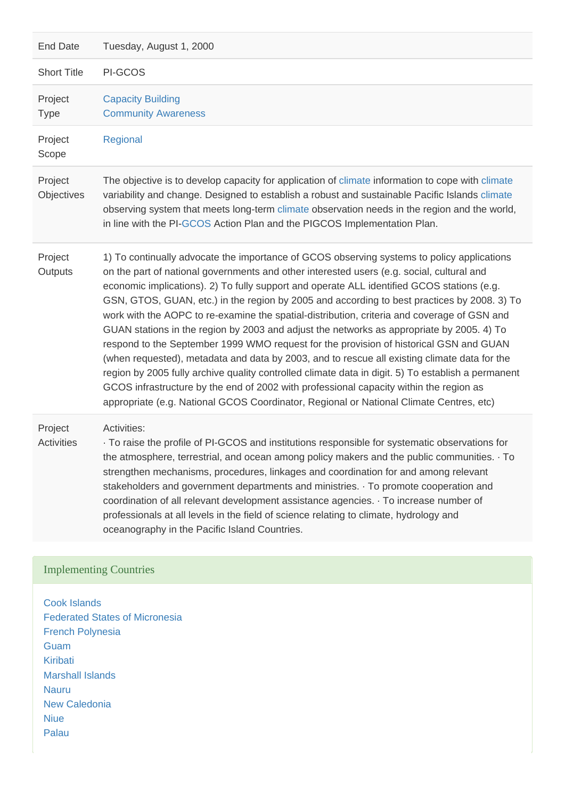| Tuesday, August 1, 2000                                                                                                                                                                                                                                                                                                                                                                                                                                                                                                                                                                                                                                                                                                                                                                                                                                                                                                                                                                                                                                               |
|-----------------------------------------------------------------------------------------------------------------------------------------------------------------------------------------------------------------------------------------------------------------------------------------------------------------------------------------------------------------------------------------------------------------------------------------------------------------------------------------------------------------------------------------------------------------------------------------------------------------------------------------------------------------------------------------------------------------------------------------------------------------------------------------------------------------------------------------------------------------------------------------------------------------------------------------------------------------------------------------------------------------------------------------------------------------------|
| PI-GCOS                                                                                                                                                                                                                                                                                                                                                                                                                                                                                                                                                                                                                                                                                                                                                                                                                                                                                                                                                                                                                                                               |
| <b>Capacity Building</b><br><b>Community Awareness</b>                                                                                                                                                                                                                                                                                                                                                                                                                                                                                                                                                                                                                                                                                                                                                                                                                                                                                                                                                                                                                |
| Regional                                                                                                                                                                                                                                                                                                                                                                                                                                                                                                                                                                                                                                                                                                                                                                                                                                                                                                                                                                                                                                                              |
| The objective is to develop capacity for application of climate information to cope with climate<br>variability and change. Designed to establish a robust and sustainable Pacific Islands climate<br>observing system that meets long-term climate observation needs in the region and the world,<br>in line with the PI-GCOS Action Plan and the PIGCOS Implementation Plan.                                                                                                                                                                                                                                                                                                                                                                                                                                                                                                                                                                                                                                                                                        |
| 1) To continually advocate the importance of GCOS observing systems to policy applications<br>on the part of national governments and other interested users (e.g. social, cultural and<br>economic implications). 2) To fully support and operate ALL identified GCOS stations (e.g.<br>GSN, GTOS, GUAN, etc.) in the region by 2005 and according to best practices by 2008. 3) To<br>work with the AOPC to re-examine the spatial-distribution, criteria and coverage of GSN and<br>GUAN stations in the region by 2003 and adjust the networks as appropriate by 2005. 4) To<br>respond to the September 1999 WMO request for the provision of historical GSN and GUAN<br>(when requested), metadata and data by 2003, and to rescue all existing climate data for the<br>region by 2005 fully archive quality controlled climate data in digit. 5) To establish a permanent<br>GCOS infrastructure by the end of 2002 with professional capacity within the region as<br>appropriate (e.g. National GCOS Coordinator, Regional or National Climate Centres, etc) |
| Activities:<br>To raise the profile of PI-GCOS and institutions responsible for systematic observations for<br>the atmosphere, terrestrial, and ocean among policy makers and the public communities. To<br>strengthen mechanisms, procedures, linkages and coordination for and among relevant<br>stakeholders and government departments and ministries. To promote cooperation and<br>coordination of all relevant development assistance agencies. To increase number of<br>professionals at all levels in the field of science relating to climate, hydrology and<br>oceanography in the Pacific Island Countries.                                                                                                                                                                                                                                                                                                                                                                                                                                               |
|                                                                                                                                                                                                                                                                                                                                                                                                                                                                                                                                                                                                                                                                                                                                                                                                                                                                                                                                                                                                                                                                       |

## Implementing Countries

[Cook Islands](https://www.pacificclimatechange.net/node/9481) [Federated States of Micronesia](https://www.pacificclimatechange.net/node/9482) [French Polynesia](https://www.pacificclimatechange.net/node/9566) **[Guam](https://www.pacificclimatechange.net/node/9506)** [Kiribati](https://www.pacificclimatechange.net/node/52) [Marshall Islands](https://www.pacificclimatechange.net/node/53) [Nauru](https://www.pacificclimatechange.net/node/54) [New Caledonia](https://www.pacificclimatechange.net/node/9554) [Niue](https://www.pacificclimatechange.net/node/55) [Palau](https://www.pacificclimatechange.net/node/57)